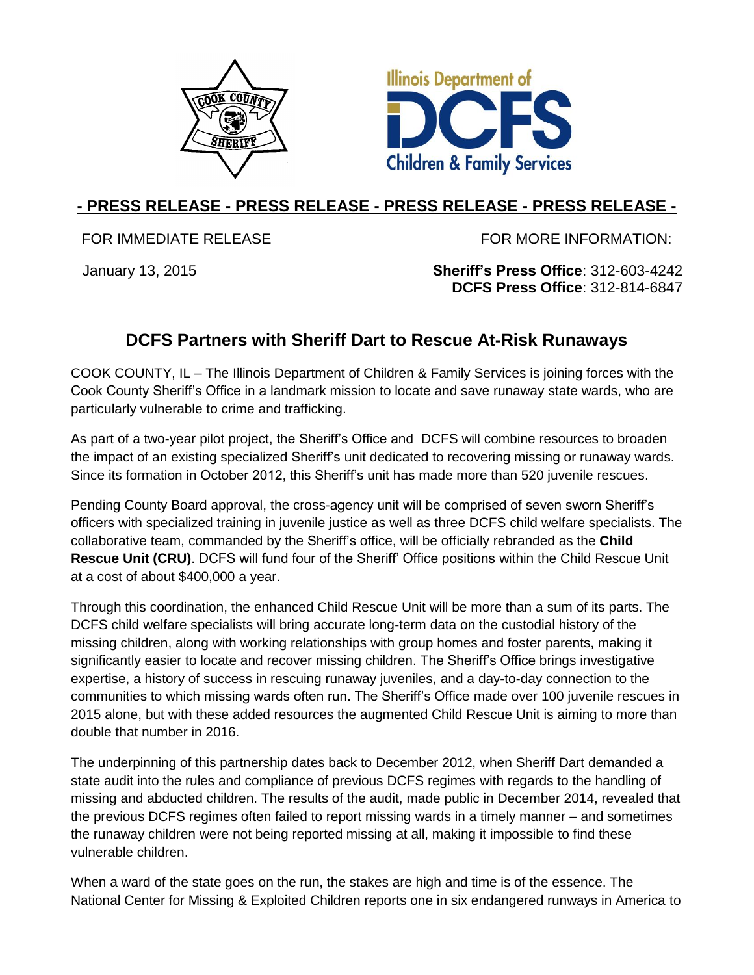



## **- PRESS RELEASE - PRESS RELEASE - PRESS RELEASE - PRESS RELEASE -**

FOR IMMEDIATE RELEASE FOR MORE INFORMATION:

January 13, 2015 **Sheriff's Press Office**: 312-603-4242 **DCFS Press Office**: 312-814-6847

## **DCFS Partners with Sheriff Dart to Rescue At-Risk Runaways**

COOK COUNTY, IL – The Illinois Department of Children & Family Services is joining forces with the Cook County Sheriff's Office in a landmark mission to locate and save runaway state wards, who are particularly vulnerable to crime and trafficking.

As part of a two-year pilot project, the Sheriff's Office and DCFS will combine resources to broaden the impact of an existing specialized Sheriff's unit dedicated to recovering missing or runaway wards. Since its formation in October 2012, this Sheriff's unit has made more than 520 juvenile rescues.

Pending County Board approval, the cross-agency unit will be comprised of seven sworn Sheriff's officers with specialized training in juvenile justice as well as three DCFS child welfare specialists. The collaborative team, commanded by the Sheriff's office, will be officially rebranded as the **Child Rescue Unit (CRU)**. DCFS will fund four of the Sheriff' Office positions within the Child Rescue Unit at a cost of about \$400,000 a year.

Through this coordination, the enhanced Child Rescue Unit will be more than a sum of its parts. The DCFS child welfare specialists will bring accurate long-term data on the custodial history of the missing children, along with working relationships with group homes and foster parents, making it significantly easier to locate and recover missing children. The Sheriff's Office brings investigative expertise, a history of success in rescuing runaway juveniles, and a day-to-day connection to the communities to which missing wards often run. The Sheriff's Office made over 100 juvenile rescues in 2015 alone, but with these added resources the augmented Child Rescue Unit is aiming to more than double that number in 2016.

The underpinning of this partnership dates back to December 2012, when Sheriff Dart demanded a state audit into the rules and compliance of previous DCFS regimes with regards to the handling of missing and abducted children. The results of the audit, made public in December 2014, revealed that the previous DCFS regimes often failed to report missing wards in a timely manner – and sometimes the runaway children were not being reported missing at all, making it impossible to find these vulnerable children.

When a ward of the state goes on the run, the stakes are high and time is of the essence. The National Center for Missing & Exploited Children reports one in six endangered runways in America to